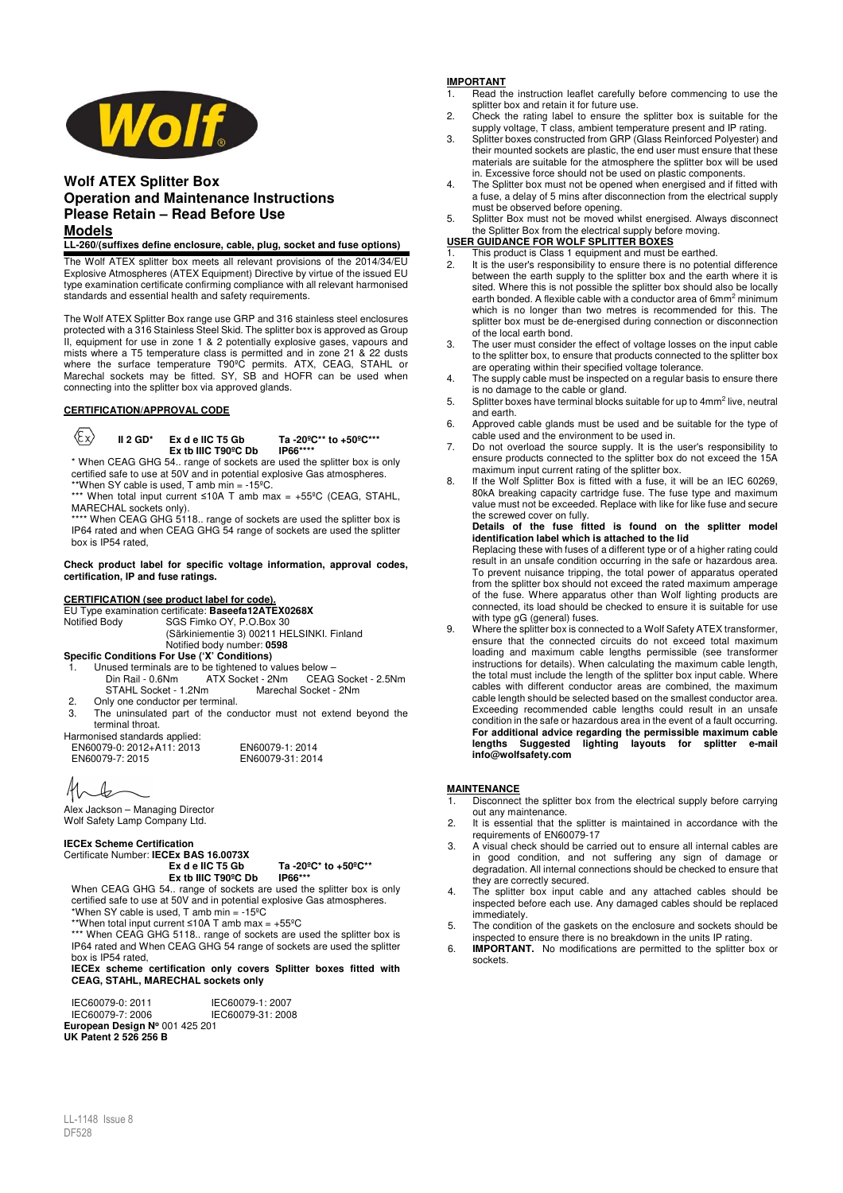

## **Wolf ATEX Splitter Box Operation and Maintenance Instructions Please Retain – Read Before Use Models**

#### **LL-260/(suffixes define enclosure, cable, plug, socket and fuse options)**

The Wolf ATEX splitter box meets all relevant provisions of the 2014/34/EU Explosive Atmospheres (ATEX Equipment) Directive by virtue of the issued EU type examination certificate confirming compliance with all relevant harmonised standards and essential health and safety requirements.

The Wolf ATEX Splitter Box range use GRP and 316 stainless steel enclosures protected with a 316 Stainless Steel Skid. The splitter box is approved as Group II, equipment for use in zone 1 & 2 potentially explosive gases, vapours and mists where a T5 temperature class is permitted and in zone 21 & 22 dusts where the surface temperature T90ºC permits. ATX, CEAG, STAHL or Marechal sockets may be fitted. SY, SB and HOFR can be used when connecting into the splitter box via approved glands.

## **CERTIFICATION/APPROVAL CODE**

 $\langle \xi_X \rangle$ 

**II 2 GD\* Ex d e IIC T5 Gb Ta -20ºC\*\* to +50ºC\*\*\*** Ex tb IIIC T90<sup>°</sup>C Db

\* When CEAG GHG 54.. range of sockets are used the splitter box is only certified safe to use at 50V and in potential explosive Gas atmospheres. \*\*When SY cable is used, T amb min = -15ºC.

\*\*\* When total input current ≤10A T amb max = +55°C (CEAG, STAHL, MARECHAL sockets only).

\*\*\*\* When CEAG GHG 5118.. range of sockets are used the splitter box is IP64 rated and when CEAG GHG 54 range of sockets are used the splitter box is IP54 rated,

#### **Check product label for specific voltage information, approval codes, certification, IP and fuse ratings.**

#### **CERTIFICATION (see product label for code).**

EU Type examination certificate: **Baseefa12ATEX0268X** 

Notified Body SGS Fimko OY, P.O.Box 30 (Särkiniementie 3) 00211 HELSINKI. Finland

Notified body number: **0598** 

**Specific Conditions For Use ('X' Conditions)** 

- 1. Unused terminals are to be tightened to values below et - 2Nm CEAG Socket - 2.5Nm<br>Marechal Socket - 2Nm STAHL Socket - 1.2Nm
- 2. Only one conductor per terminal.
- 3. The uninsulated part of the conductor must not extend beyond the terminal throat.

EN60079-31: 2014

Harmonised standards applied: EN60079-0: 2012+A11: 2013 EN60079-1: 2014

11C b

Alex Jackson – Managing Director Wolf Safety Lamp Company Ltd.

## **IECEx Scheme Certification**

# Certificate Number: **IECEx BAS 16.0073X**

**Ex d e IIC T5 Gb Ta -20ºC\* to +50ºC\*\* Ex tb IIIC T90°C Db** When CEAG GHG 54.. range of sockets are used the splitter box is only certified safe to use at 50V and in potential explosive Gas atmospheres.

\*When SY cable is used,  $T$  amb min = -15 $^{\circ}$ C

\*\*When total input current ≤10A T amb max =  $+55^{\circ}$ C

\*\*\* When CEAG GHG 5118.. range of sockets are used the splitter box is IP64 rated and When CEAG GHG 54 range of sockets are used the splitter box is IP54 rated,

**IECEx scheme certification only covers Splitter boxes fitted with CEAG, STAHL, MARECHAL sockets only**

IEC60079-0: 2011 IEC60079-1: 2007 IEC60079-7: 2006 IEC60079-31: 2008 **European Design N<sup>o</sup>** 001 425 201 **UK Patent 2 526 256 B**

#### **IMPORTANT**

- 1. Read the instruction leaflet carefully before commencing to use the splitter box and retain it for future use.
- 2. Check the rating label to ensure the splitter box is suitable for the supply voltage,  $\vec{T}$  class, ambient temperature present and IP rating.
- 3. Splitter boxes constructed from GRP (Glass Reinforced Polyester) and their mounted sockets are plastic, the end user must ensure that these materials are suitable for the atmosphere the splitter box will be used in. Excessive force should not be used on plastic components.
- 4. The Splitter box must not be opened when energised and if fitted with a fuse, a delay of 5 mins after disconnection from the electrical supply must be observed before opening.

5. Splitter Box must not be moved whilst energised. Always disconnect the Splitter Box from the electrical supply before moving.

# **USER GUIDANCE FOR WOLF SPLITTER BOXES**

- 1. This product is Class 1 equipment and must be earthed.<br>2. It is the user's responsibility to ensure there is no poten It is the user's responsibility to ensure there is no potential difference between the earth supply to the splitter box and the earth where it is sited. Where this is not possible the splitter box should also be locally earth bonded. A flexible cable with a conductor area of 6mm<sup>2</sup> minimum which is no longer than two metres is recommended for this. The splitter box must be de-energised during connection or disconnection of the local earth bond.
- 3. The user must consider the effect of voltage losses on the input cable to the splitter box, to ensure that products connected to the splitter box are operating within their specified voltage tolerance.
- 4. The supply cable must be inspected on a regular basis to ensure there is no damage to the cable or gland.
- 5. Splitter boxes have terminal blocks suitable for up to 4mm<sup>2</sup> live, neutral and earth.
- 6. Approved cable glands must be used and be suitable for the type of cable used and the environment to be used in.
- 7. Do not overload the source supply. It is the user's responsibility to ensure products connected to the splitter box do not exceed the 15A maximum input current rating of the splitter box.
- 8. If the Wolf Splitter Box is fitted with a fuse, it will be an IEC 60269, 80kA breaking capacity cartridge fuse. The fuse type and maximum value must not be exceeded. Replace with like for like fuse and secure the screwed cover on fully.

#### **Details of the fuse fitted is found on the splitter model identification label which is attached to the lid**

Replacing these with fuses of a different type or of a higher rating could result in an unsafe condition occurring in the safe or hazardous area. To prevent nuisance tripping, the total power of apparatus operated from the splitter box should not exceed the rated maximum amperage of the fuse. Where apparatus other than Wolf lighting products are connected, its load should be checked to ensure it is suitable for use with type gG (general) fuses.

9. Where the splitter box is connected to a Wolf Safety ATEX transformer, ensure that the connected circuits do not exceed total maximum loading and maximum cable lengths permissible (see transformer instructions for details). When calculating the maximum cable length, the total must include the length of the splitter box input cable. Where cables with different conductor areas are combined, the maximum cable length should be selected based on the smallest conductor area. Exceeding recommended cable lengths could result in an unsafe condition in the safe or hazardous area in the event of a fault occurring. **For additional advice regarding the permissible maximum cable**  lengths Suggested lighting layouts for splitter **info@wolfsafety.com**

#### **MAINTENANCE**

- **1. Bisconnect the splitter box from the electrical supply before carrying** out any maintenance.
- 2. It is essential that the splitter is maintained in accordance with the requirements of EN60079-17
- 3. A visual check should be carried out to ensure all internal cables are in good condition, and not suffering any sign of damage or degradation. All internal connections should be checked to ensure that they are correctly secured.
- 4. The splitter box input cable and any attached cables should be inspected before each use. Any damaged cables should be replaced immediately.
- 5. The condition of the gaskets on the enclosure and sockets should be inspected to ensure there is no breakdown in the units IP rating.
- 6. **IMPORTANT.** No modifications are permitted to the splitter box or sockets.